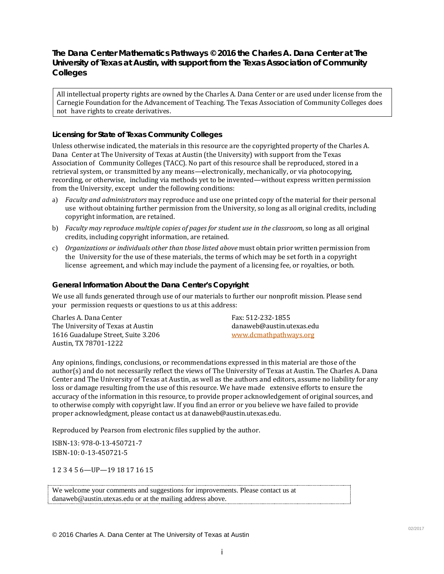## **The Dana Center Mathematics Pathways © 2016 the Charles A. Dana Center at The University of Texas at Austin, with support from the Texas Association of Community Colleges**

All intellectual property rights are owned by the Charles A. Dana Center or are used under license from the Carnegie Foundation for the Advancement of Teaching. The Texas Association of Community Colleges does not have rights to create derivatives.

#### **Licensing for State of Texas Community Colleges**

Unless otherwise indicated, the materials in this resource are the copyrighted property of the Charles A. Dana Center at The University of Texas at Austin (the University) with support from the Texas Association of Community Colleges (TACC). No part of this resource shall be reproduced, stored in a retrieval system, or transmitted by any means—electronically, mechanically, or via photocopying, recording, or otherwise, including via methods yet to be invented—without express written permission from the University, except under the following conditions:

- a) *Faculty and administrators* may reproduce and use one printed copy of the material for their personal use without obtaining further permission from the University, so long as all original credits, including copyright information, are retained.
- b) *Faculty may reproduce multiple copies of pages for student use in the classroom*, so long as all original credits, including copyright information, are retained.
- c) *Organizations or individuals other than those listed above* must obtain prior written permission from the University for the use of these materials, the terms of which may be set forth in a copyright license agreement, and which may include the payment of a licensing fee, or royalties, or both.

#### **General Information About the Dana Center's Copyright**

We use all funds generated through use of our materials to further our nonprofit mission. Please send your permission requests or questions to us at this address:

Charles A. Dana Center Fax: 512-232-1855<br>The University of Texas at Austin Fax: Fax: 512-232-1855 1616 Guadalupe Street, Suite 3.206 Austin, TX 78701-1222

[danaweb@austin.utexas.edu](mailto:danaweb@austin.utexas.edu)<br>www.dcmathpathways.org

Any opinions, findings, conclusions, or recommendations expressed in this material are those of the author(s) and do not necessarily reflect the views of The University of Texas at Austin. The Charles A. Dana Center and The University of Texas at Austin, as well as the authors and editors, assume no liability for any loss or damage resulting from the use of this resource. We have made extensive efforts to ensure the accuracy of the information in this resource, to provide proper acknowledgement of original sources, and to otherwise comply with copyright law. If you find an error or you believe we have failed to provide proper acknowledgment, please contact us a[t danaweb@austin.utexas.edu.](mailto:danaweb@austin.utexas.edu)

Reproduced by Pearson from electronic files supplied by the author.

ISBN-13: 978-0-13-450721-7 ISBN-10: 0-13-450721-5

1 2 3 4 5 6—UP—19 18 17 16 15

We welcome your comments and suggestions for improvements. Please contact us at [danaweb@austin.utexas.edu](mailto:danaweb@austin.utexas.edu) or at the mailing address above.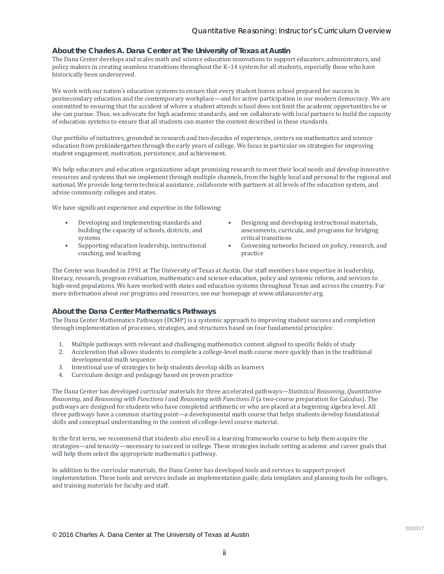#### **About the Charles A. Dana Center at The University of Texas at Austin**

The Dana Center develops and scales math and science education innovations to support educators, administrators, and policy makers in creating seamless transitions throughout the K–14 system for all students, especially those who have historically been underserved.

We work with our nation's education systems to ensure that every student leaves school prepared for success in postsecondary education and the contemporary workplace—and for active participation in our modern democracy. We are committed to ensuring that the accident of where a student attends school does not limit the academic opportunities he or she can pursue. Thus, we advocate for high academic standards, and we collaborate with local partners to build the capacity of education systems to ensure that all students can master the content described in these standards.

Our portfolio of initiatives, grounded in research and two decades of experience, centers on mathematics and science education from prekindergarten through the early years of college. We focus in particular on strategies for improving student engagement, motivation, persistence, and achievement.

We help educators and education organizations adapt promising research to meet their local needs and develop innovative resources and systems that we implement through multiple channels, from the highly local and personal to the regional and national. We provide long-term technical assistance, collaborate with partners at all levels of the education system, and advise community colleges and states.

We have significant experience and expertise in the following:

- Developing and implementing standards and building the capacity of schools, districts, and systems
- Supporting education leadership, instructional coaching, and teaching
- Designing and developing instructional materials, assessments, curricula, and programs for bridging critical transitions
- Convening networks focused on policy, research, and practice

The Center was founded in 1991 at The University of Texas at Austin. Our staff members have expertise in leadership, literacy, research, program evaluation, mathematics and science education, policy and systemic reform, and services to high-need populations. We have worked with states and education systems throughout Texas and across the country. For more information about our programs and resources, see our homepage at www.utdanacenter.org.

#### **About the Dana Center Mathematics Pathways**

The Dana Center Mathematics Pathways (DCMP) is a systemic approach to improving student success and completion through implementation of processes, strategies, and structures based on four fundamental principles:

- 1. Multiple pathways with relevant and challenging mathematics content aligned to specific fields of study
- 2. Acceleration that allows students to complete a college-level math course more quickly than in the traditional developmental math sequence
- 3. Intentional use of strategies to help students develop skills as learners
- 4. Curriculum design and pedagogy based on proven practice

The Dana Center has developed curricular materials for three accelerated pathways—*Statistical Reasoning*, *Quantitative Reasoning*, and *Reasoning with Functions I* and *Reasoning with Functions II* (a two-course preparation for Calculus). The pathways are designed for students who have completed arithmetic or who are placed at a beginning algebra level. All three pathways have a common starting point—a developmental math course that helps students develop foundational skills and conceptual understanding in the context of college-level course material.

In the first term, we recommend that students also enroll in a learning frameworks course to help them acquire the strategies—and tenacity—necessary to succeed in college. These strategies include setting academic and career goals that will help them select the appropriate mathematics pathway.

In addition to the curricular materials, the Dana Center has developed tools and services to support project implementation. These tools and services include an implementation guide, data templates and planning tools for colleges, and training materials for faculty and staff.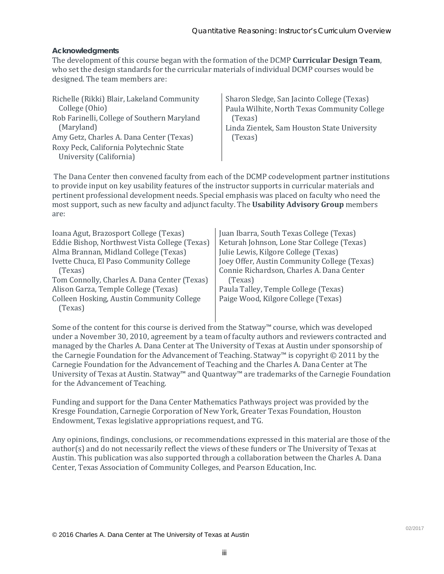### **Acknowledgments**

The development of this course began with the formation of the DCMP **Curricular Design Team**, who set the design standards for the curricular materials of individual DCMP courses would be designed. The team members are:

| Richelle (Rikki) Blair, Lakeland Community  | Sharon Sledge, San Jacinto College (Texas)   |
|---------------------------------------------|----------------------------------------------|
| College (Ohio)                              | Paula Wilhite, North Texas Community College |
| Rob Farinelli, College of Southern Maryland | (Texas)                                      |
| (Maryland)                                  | Linda Zientek, Sam Houston State University  |
| Amy Getz, Charles A. Dana Center (Texas)    | (Texas)                                      |
| Roxy Peck, California Polytechnic State     |                                              |
| University (California)                     |                                              |

The Dana Center then convened faculty from each of the DCMP codevelopment partner institutions to provide input on key usability features of the instructor supports in curricular materials and pertinent professional development needs. Special emphasis was placed on faculty who need the most support, such as new faculty and adjunct faculty. The **Usability Advisory Group** members are:

| Ioana Agut, Brazosport College (Texas)<br>Eddie Bishop, Northwest Vista College (Texas)<br>Alma Brannan, Midland College (Texas) | Juan Ibarra, South Texas College (Texas)<br>Keturah Johnson, Lone Star College (Texas)<br>Julie Lewis, Kilgore College (Texas) |
|----------------------------------------------------------------------------------------------------------------------------------|--------------------------------------------------------------------------------------------------------------------------------|
|                                                                                                                                  |                                                                                                                                |
| Ivette Chuca, El Paso Community College                                                                                          | Joey Offer, Austin Community College (Texas)                                                                                   |
| (Texas)                                                                                                                          | Connie Richardson, Charles A. Dana Center                                                                                      |
| Tom Connolly, Charles A. Dana Center (Texas)                                                                                     | (Texas)                                                                                                                        |
| Alison Garza, Temple College (Texas)                                                                                             | Paula Talley, Temple College (Texas)                                                                                           |
| Colleen Hosking, Austin Community College                                                                                        | Paige Wood, Kilgore College (Texas)                                                                                            |
| (Texas)                                                                                                                          |                                                                                                                                |

Some of the content for this course is derived from the Statway™ course, which was developed under a November 30, 2010, agreement by a team of faculty authors and reviewers contracted and managed by the Charles A. Dana Center at The University of Texas at Austin under sponsorship of the Carnegie Foundation for the Advancement of Teaching. Statway™ is copyright © 2011 by the Carnegie Foundation for the Advancement of Teaching and the Charles A. Dana Center at The University of Texas at Austin. Statway™ and Quantway™ are trademarks of the Carnegie Foundation for the Advancement of Teaching.

Funding and support for the Dana Center Mathematics Pathways project was provided by the Kresge Foundation, Carnegie Corporation of New York, Greater Texas Foundation, Houston Endowment, Texas legislative appropriations request, and TG.

Any opinions, findings, conclusions, or recommendations expressed in this material are those of the author(s) and do not necessarily reflect the views of these funders or The University of Texas at Austin. This publication was also supported through a collaboration between the Charles A. Dana Center, Texas Association of Community Colleges, and Pearson Education, Inc.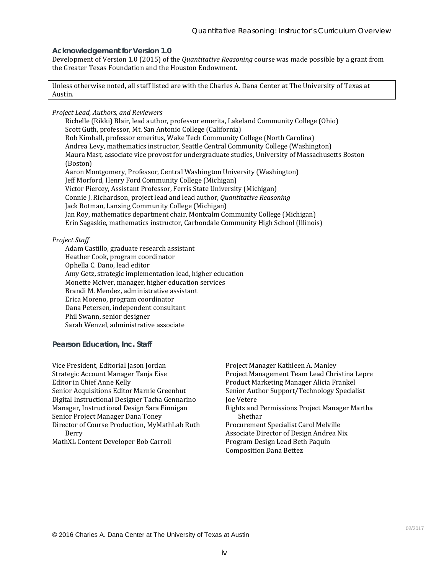#### **Acknowledgement for Version 1.0**

Development of Version 1.0 (2015) of the *Quantitative Reasoning* course was made possible by a grant from the Greater Texas Foundation and the Houston Endowment.

Unless otherwise noted, all staff listed are with the Charles A. Dana Center at The University of Texas at Austin.

#### *Project Lead, Authors, and Reviewers*

Richelle (Rikki) Blair, lead author, professor emerita, Lakeland Community College (Ohio) Scott Guth, professor, Mt. San Antonio College (California) Rob Kimball, professor emeritus, Wake Tech Community College (North Carolina) Andrea Levy, mathematics instructor, Seattle Central Community College (Washington) Maura Mast, associate vice provost for undergraduate studies, University of Massachusetts Boston (Boston) Aaron Montgomery, Professor, Central Washington University (Washington) Jeff Morford, Henry Ford Community College (Michigan) Victor Piercey, Assistant Professor, Ferris State University (Michigan) Connie J. Richardson, project lead and lead author, *Quantitative Reasoning* Jack Rotman, Lansing Community College (Michigan) Jan Roy, mathematics department chair, Montcalm Community College (Michigan) Erin Sagaskie, mathematics instructor, Carbondale Community High School (Illinois)

#### *Project Staff*

Adam Castillo, graduate research assistant Heather Cook, program coordinator Ophella C. Dano, lead editor Amy Getz, strategic implementation lead, higher education Monette McIver, manager, higher education services Brandi M. Mendez, administrative assistant Erica Moreno, program coordinator Dana Petersen, independent consultant Phil Swann, senior designer Sarah Wenzel, administrative associate

**Pearson Education, Inc. Staff**

| Vice President, Editorial Jason Jordan         | Project Manager Kathleen A. Manley            |
|------------------------------------------------|-----------------------------------------------|
| Strategic Account Manager Tanja Eise           |                                               |
|                                                | Project Management Team Lead Christina Lepre  |
| Editor in Chief Anne Kelly                     | Product Marketing Manager Alicia Frankel      |
| Senior Acquisitions Editor Marnie Greenhut     | Senior Author Support/Technology Specialist   |
| Digital Instructional Designer Tacha Gennarino | <b>Joe Vetere</b>                             |
| Manager, Instructional Design Sara Finnigan    | Rights and Permissions Project Manager Martha |
| Senior Project Manager Dana Toney              | Shethar                                       |
| Director of Course Production, MyMathLab Ruth  | Procurement Specialist Carol Melville         |
| Berry                                          | Associate Director of Design Andrea Nix       |
| MathXL Content Developer Bob Carroll           | Program Design Lead Beth Paquin               |
|                                                | <b>Composition Dana Bettez</b>                |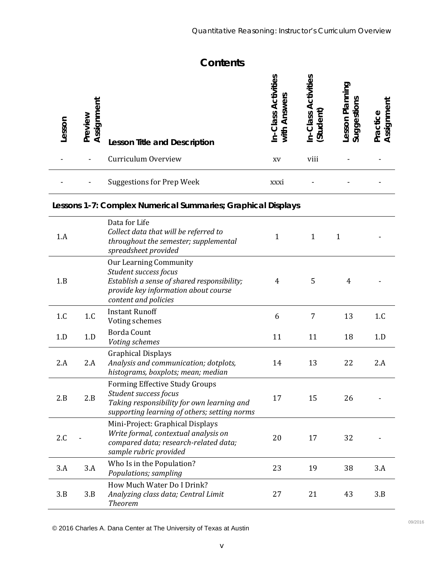# **Contents**

| esson | ω<br>ssig<br>Prev<br>⋖   | Lesson Title and Description     | ctiviti<br>ర<br>Φ<br>₫<br>č٩<br>lass<br>with | lass<br>(Studer<br>$\overline{\omega}$ | Suggestions<br>ΙUΡ<br>Lesson | ssig<br>Pract |
|-------|--------------------------|----------------------------------|----------------------------------------------|----------------------------------------|------------------------------|---------------|
|       | $\overline{\phantom{0}}$ | Curriculum Overview              | XV                                           | viii                                   |                              |               |
|       |                          | <b>Suggestions for Prep Week</b> | <b>XXXI</b>                                  |                                        |                              |               |

## **Lessons 1-7: Complex Numerical Summaries; Graphical Displays**

| 1.A |     | Data for Life<br>Collect data that will be referred to<br>throughout the semester; supplemental<br>spreadsheet provided                                        | $\mathbf{1}$ | $\mathbf{1}$ | $\mathbf{1}$ |     |
|-----|-----|----------------------------------------------------------------------------------------------------------------------------------------------------------------|--------------|--------------|--------------|-----|
| 1.B |     | Our Learning Community<br>Student success focus<br>Establish a sense of shared responsibility;<br>provide key information about course<br>content and policies | 4            | 5            | 4            |     |
| 1.C | 1.C | <b>Instant Runoff</b><br>Voting schemes                                                                                                                        | 6            | 7            | 13           | 1.C |
| 1.D | 1.D | <b>Borda Count</b><br>Voting schemes                                                                                                                           | 11           | 11           | 18           | 1.D |
| 2.A | 2.A | <b>Graphical Displays</b><br>Analysis and communication; dotplots,<br>histograms, boxplots; mean; median                                                       | 14           | 13           | 22           | 2.A |
| 2.B | 2.B | <b>Forming Effective Study Groups</b><br>Student success focus<br>Taking responsibility for own learning and<br>supporting learning of others; setting norms   | 17           | 15           | 26           |     |
| 2.C |     | Mini-Project: Graphical Displays<br>Write formal, contextual analysis on<br>compared data; research-related data;<br>sample rubric provided                    | 20           | 17           | 32           |     |
| 3.A | 3.A | Who Is in the Population?<br>Populations; sampling                                                                                                             | 23           | 19           | 38           | 3.A |
| 3.B | 3.B | How Much Water Do I Drink?<br>Analyzing class data; Central Limit<br><b>Theorem</b>                                                                            | 27           | 21           | 43           | 3.B |

© 2016 Charles A. Dana Center at The University of Texas at Austin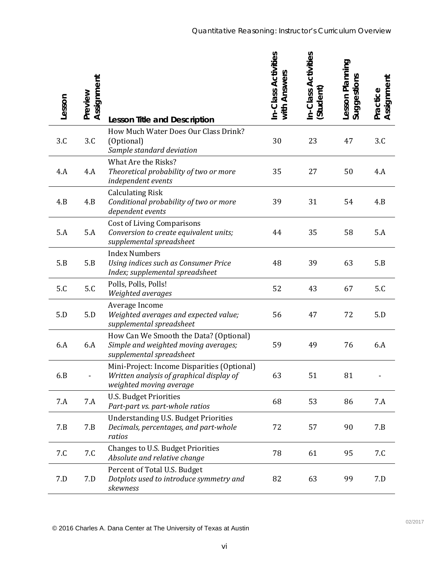| Lesson          | Assignment<br>Preview | Lesson Title and Description                                                                                       | In-Class Activities<br>with Answers | In-Class Activities<br>(Student) | Lesson Planning<br>Suggestions | Assignment<br>Practice |
|-----------------|-----------------------|--------------------------------------------------------------------------------------------------------------------|-------------------------------------|----------------------------------|--------------------------------|------------------------|
| 3.C             | 3.C                   | How Much Water Does Our Class Drink?<br>(Optional)<br>Sample standard deviation                                    | 30                                  | 23                               | 47                             | 3.C                    |
| 4.A             | 4.A                   | What Are the Risks?<br>Theoretical probability of two or more<br>independent events                                | 35                                  | 27                               | 50                             | 4.A                    |
| 4.B             | 4.B                   | <b>Calculating Risk</b><br>Conditional probability of two or more<br>dependent events                              | 39                                  | 31                               | 54                             | 4.B                    |
| 5.A             | 5.A                   | <b>Cost of Living Comparisons</b><br>Conversion to create equivalent units;<br>supplemental spreadsheet            | 44                                  | 35                               | 58                             | 5.A                    |
| 5.B             | 5.B                   | <b>Index Numbers</b><br>Using indices such as Consumer Price<br>Index; supplemental spreadsheet                    | 48                                  | 39                               | 63                             | 5.B                    |
| 5.C             | 5.C                   | Polls, Polls, Polls!<br>Weighted averages                                                                          | 52                                  | 43                               | 67                             | 5.C                    |
| 5.D             | 5.D                   | Average Income<br>Weighted averages and expected value;<br>supplemental spreadsheet                                | 56                                  | 47                               | 72                             | 5.D                    |
| 6.A             | 6.A                   | How Can We Smooth the Data? (Optional)<br>Simple and weighted moving averages;<br>supplemental spreadsheet         | 59                                  | 49                               | 76                             | 6.A                    |
| 6.B             |                       | Mini-Project: Income Disparities (Optional)<br>Written analysis of graphical display of<br>weighted moving average | 63                                  | 51                               | 81                             |                        |
| 7.A             | 7.A                   | <b>U.S. Budget Priorities</b><br>Part-part vs. part-whole ratios                                                   | 68                                  | 53                               | 86                             | 7.A                    |
| 7.B             | 7.B                   | Understanding U.S. Budget Priorities<br>Decimals, percentages, and part-whole<br>ratios                            | 72                                  | 57                               | 90                             | 7.B                    |
| 7. <sub>C</sub> | 7.C                   | Changes to U.S. Budget Priorities<br>Absolute and relative change                                                  | 78                                  | 61                               | 95                             | 7.C                    |
| 7.D             | 7.D                   | Percent of Total U.S. Budget<br>Dotplots used to introduce symmetry and<br>skewness                                | 82                                  | 63                               | 99                             | 7.D                    |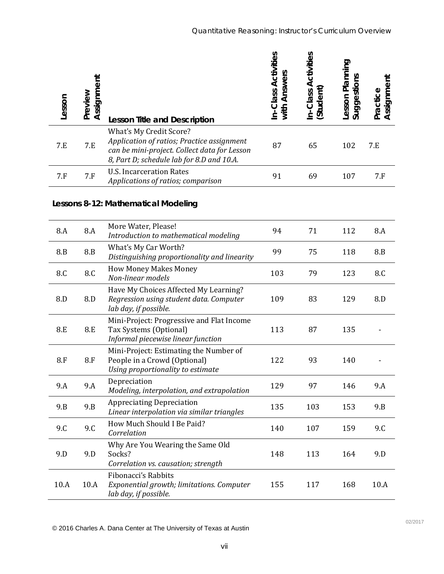| Lesson | Assignm<br>Preview | <b>Lesson Title and Description</b>                                                                                                                                | Activities<br>Answers<br>Class<br>with | Activities<br>(Student)<br>In-Class | Lesson Planning<br>Suggestions | ssignme<br>Practice |
|--------|--------------------|--------------------------------------------------------------------------------------------------------------------------------------------------------------------|----------------------------------------|-------------------------------------|--------------------------------|---------------------|
| 7.E    | 7.E                | What's My Credit Score?<br>Application of ratios; Practice assignment<br>can be mini-project. Collect data for Lesson<br>8, Part D; schedule lab for 8.D and 10.A. | 87                                     | 65                                  | 102                            | 7.E                 |
| 7.F    | 7.F                | <b>U.S. Incarceration Rates</b><br>Applications of ratios; comparison                                                                                              | 91                                     | 69                                  | 107                            | 7.F                 |

## **Lessons 8-12: Mathematical Modeling**

| 8.A  | 8.A  | More Water, Please!<br>Introduction to mathematical modeling                                                | 94  | 71  | 112 | 8.A  |
|------|------|-------------------------------------------------------------------------------------------------------------|-----|-----|-----|------|
| 8.B  | 8.B  | What's My Car Worth?<br>Distinguishing proportionality and linearity                                        | 99  | 75  | 118 | 8.B  |
| 8.C  | 8.C  | <b>How Money Makes Money</b><br>Non-linear models                                                           | 103 | 79  | 123 | 8.C  |
| 8.D  | 8.D  | Have My Choices Affected My Learning?<br>Regression using student data. Computer<br>lab day, if possible.   | 109 | 83  | 129 | 8.D  |
| 8.E  | 8.E  | Mini-Project: Progressive and Flat Income<br>Tax Systems (Optional)<br>Informal piecewise linear function   | 113 | 87  | 135 |      |
| 8.F  | 8.F  | Mini-Project: Estimating the Number of<br>People in a Crowd (Optional)<br>Using proportionality to estimate | 122 | 93  | 140 |      |
| 9.A  | 9.A  | Depreciation<br>Modeling, interpolation, and extrapolation                                                  | 129 | 97  | 146 | 9.A  |
| 9.B  | 9.B  | <b>Appreciating Depreciation</b><br>Linear interpolation via similar triangles                              | 135 | 103 | 153 | 9.B  |
| 9.C  | 9.C  | How Much Should I Be Paid?<br>Correlation                                                                   | 140 | 107 | 159 | 9.C  |
| 9.D  | 9.D  | Why Are You Wearing the Same Old<br>Socks?<br>Correlation vs. causation; strength                           | 148 | 113 | 164 | 9.D  |
| 10.A | 10.A | Fibonacci's Rabbits<br>Exponential growth; limitations. Computer<br>lab day, if possible.                   | 155 | 117 | 168 | 10.A |

© 2016 Charles A. Dana Center at The University of Texas at Austin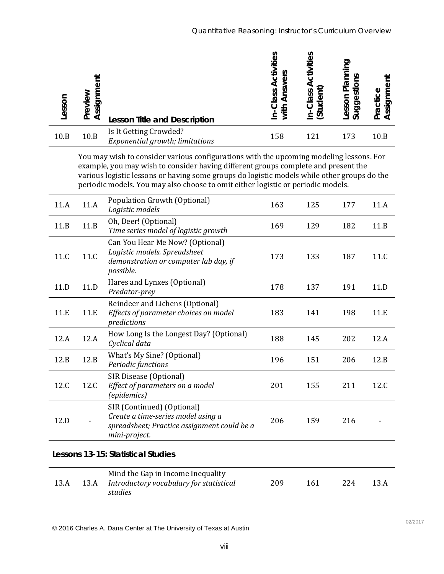| Lesson | ά٥<br>ssig<br>Pre<br>◁ | <b>Lesson Title and Description</b>                       | S<br>n<br>ሰነ<br>₫<br>∽<br>ass<br>with | S<br>C<br>ass<br>යි. | ත<br>ల్ల<br>$\bar{\mathbf{\sigma}}$<br>stio<br>Sugge<br>Lessor | ssig<br>3G |
|--------|------------------------|-----------------------------------------------------------|---------------------------------------|----------------------|----------------------------------------------------------------|------------|
| 10.B   | 10.B                   | Is It Getting Crowded?<br>Exponential growth; limitations | 158                                   | 121                  | 173                                                            | 10.B       |
|        |                        |                                                           |                                       |                      |                                                                |            |

You may wish to consider various configurations with the upcoming modeling lessons. For example, you may wish to consider having different groups complete and present the various logistic lessons or having some groups do logistic models while other groups do the periodic models. You may also choose to omit either logistic or periodic models.

| 11.A                               | 11.A | Population Growth (Optional)<br>Logistic models                                                                                  | 163 | 125 | 177 | 11.A |
|------------------------------------|------|----------------------------------------------------------------------------------------------------------------------------------|-----|-----|-----|------|
| 11.B                               | 11.B | Oh, Deer! (Optional)<br>Time series model of logistic growth                                                                     | 169 | 129 | 182 | 11.B |
| 11.C                               | 11.C | Can You Hear Me Now? (Optional)<br>Logistic models. Spreadsheet<br>demonstration or computer lab day, if<br>possible.            | 173 | 133 | 187 | 11.C |
| 11.D                               | 11.D | Hares and Lynxes (Optional)<br>Predator-prey                                                                                     | 178 | 137 | 191 | 11.D |
| 11.E                               | 11.E | Reindeer and Lichens (Optional)<br>Effects of parameter choices on model<br>predictions                                          | 183 | 141 | 198 | 11.E |
| 12.A                               | 12.A | How Long Is the Longest Day? (Optional)<br>Cyclical data                                                                         | 188 | 145 | 202 | 12.A |
| 12.B                               | 12.B | What's My Sine? (Optional)<br>Periodic functions                                                                                 | 196 | 151 | 206 | 12.B |
| 12.C                               | 12.C | SIR Disease (Optional)<br>Effect of parameters on a model<br>(epidemics)                                                         | 201 | 155 | 211 | 12.C |
| 12.D                               |      | SIR (Continued) (Optional)<br>Create a time-series model using a<br>spreadsheet; Practice assignment could be a<br>mini-project. | 206 | 159 | 216 |      |
| Lessons 13-15: Statistical Studies |      |                                                                                                                                  |     |     |     |      |
|                                    |      | Mind the Gap in Income Inequality                                                                                                |     |     |     |      |

|      | Mind the Gap in Income Inequality                       |     |     |     |      |
|------|---------------------------------------------------------|-----|-----|-----|------|
| 13.A | 13.A Introductory vocabulary for statistical<br>studies | 209 | 161 | 224 | 13.A |
|      |                                                         |     |     |     |      |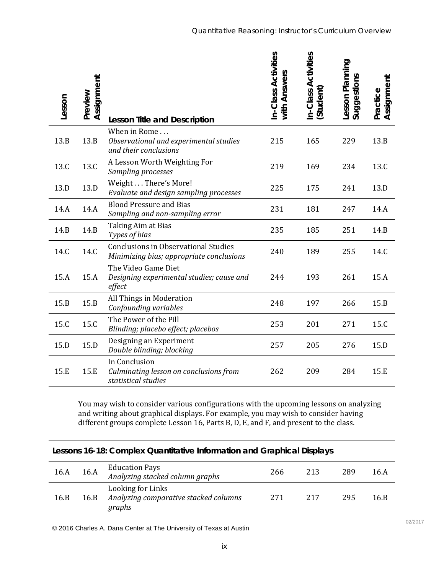| Lesson | Preview<br>Assignment | Lesson Title and Description                                                            | In-Class Activities<br>with Answers | In-Class Activities<br>(Student) | Lesson Planning<br>Suggestions | Practice<br>Assignment |
|--------|-----------------------|-----------------------------------------------------------------------------------------|-------------------------------------|----------------------------------|--------------------------------|------------------------|
| 13.B   | 13.B                  | When in Rome<br>Observational and experimental studies<br>and their conclusions         | 215                                 | 165                              | 229                            | 13.B                   |
| 13.C   | 13.C                  | A Lesson Worth Weighting For<br>Sampling processes                                      | 219                                 | 169                              | 234                            | 13.C                   |
| 13.D   | 13.D                  | WeightThere's More!<br>Evaluate and design sampling processes                           | 225                                 | 175                              | 241                            | 13.D                   |
| 14.A   | 14.A                  | <b>Blood Pressure and Bias</b><br>Sampling and non-sampling error                       | 231                                 | 181                              | 247                            | 14.A                   |
| 14.B   | 14.B                  | Taking Aim at Bias<br>Types of bias                                                     | 235                                 | 185                              | 251                            | 14.B                   |
| 14.C   | 14.C                  | <b>Conclusions in Observational Studies</b><br>Minimizing bias; appropriate conclusions | 240                                 | 189                              | 255                            | 14.C                   |
| 15.A   | 15.A                  | The Video Game Diet<br>Designing experimental studies; cause and<br>effect              | 244                                 | 193                              | 261                            | 15.A                   |
| 15.B   | 15.B                  | All Things in Moderation<br>Confounding variables                                       | 248                                 | 197                              | 266                            | 15.B                   |
| 15.C   | 15.C                  | The Power of the Pill<br>Blinding; placebo effect; placebos                             | 253                                 | 201                              | 271                            | 15.C                   |
| 15.D   | 15.D                  | Designing an Experiment<br>Double blinding; blocking                                    | 257                                 | 205                              | 276                            | 15.D                   |
| 15.E   | 15.E                  | In Conclusion<br>Culminating lesson on conclusions from<br>statistical studies          | 262                                 | 209                              | 284                            | 15.E                   |

You may wish to consider various configurations with the upcoming lessons on analyzing and writing about graphical displays. For example, you may wish to consider having different groups complete Lesson 16, Parts B, D, E, and F, and present to the class.

## **Lessons 16-18: Complex Quantitative Information and Graphical Displays**

| 16.A | 16.A | <b>Education Pays</b><br>Analyzing stacked column graphs             | 266  | 213 | 289 | 16.A |
|------|------|----------------------------------------------------------------------|------|-----|-----|------|
| 16.B | 16.B | Looking for Links<br>Analyzing comparative stacked columns<br>graphs | 2.71 | 217 | 295 | 16.B |

© 2016 Charles A. Dana Center at The University of Texas at Austin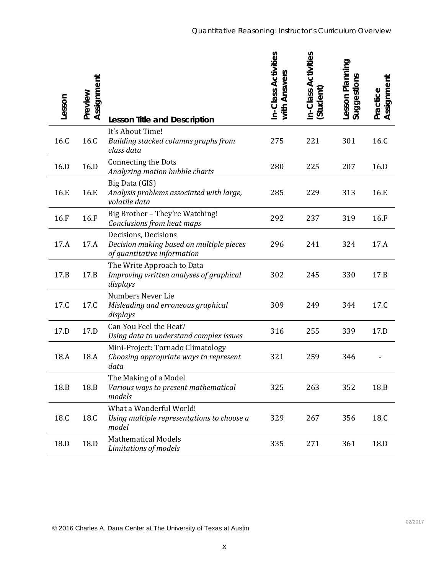| Lesson | Assignment<br>Preview | Lesson Title and Description                                                                    | In-Class Activities<br>with Answers | In-Class Activities<br>(Student) | Lesson Planning<br>Suggestions | Assignment<br>Practice |
|--------|-----------------------|-------------------------------------------------------------------------------------------------|-------------------------------------|----------------------------------|--------------------------------|------------------------|
| 16.C   | 16.C                  | It's About Time!<br>Building stacked columns graphs from<br>class data                          | 275                                 | 221                              | 301                            | 16.C                   |
| 16.D   | 16.D                  | <b>Connecting the Dots</b><br>Analyzing motion bubble charts                                    | 280                                 | 225                              | 207                            | 16.D                   |
| 16.E   | 16.E                  | Big Data (GIS)<br>Analysis problems associated with large,<br>volatile data                     | 285                                 | 229                              | 313                            | 16.E                   |
| 16.F   | 16.F                  | Big Brother - They're Watching!<br>Conclusions from heat maps                                   | 292                                 | 237                              | 319                            | 16.F                   |
| 17.A   | 17.A                  | Decisions, Decisions<br>Decision making based on multiple pieces<br>of quantitative information | 296                                 | 241                              | 324                            | 17.A                   |
| 17.B   | 17.B                  | The Write Approach to Data<br>Improving written analyses of graphical<br>displays               | 302                                 | 245                              | 330                            | 17.B                   |
| 17.C   | 17.C                  | Numbers Never Lie<br>Misleading and erroneous graphical<br>displays                             | 309                                 | 249                              | 344                            | 17.C                   |
| 17.D   | 17.D                  | Can You Feel the Heat?<br>Using data to understand complex issues                               | 316                                 | 255                              | 339                            | 17.D                   |
| 18.A   | 18.A                  | Mini-Project: Tornado Climatology<br>Choosing appropriate ways to represent<br>data             | 321                                 | 259                              | 346                            |                        |
| 18.B   | 18.B                  | The Making of a Model<br>Various ways to present mathematical<br>models                         | 325                                 | 263                              | 352                            | 18.B                   |
| 18.C   | 18.C                  | What a Wonderful World!<br>Using multiple representations to choose a<br>model                  | 329                                 | 267                              | 356                            | 18.C                   |
| 18.D   | 18.D                  | <b>Mathematical Models</b><br>Limitations of models                                             | 335                                 | 271                              | 361                            | 18.D                   |